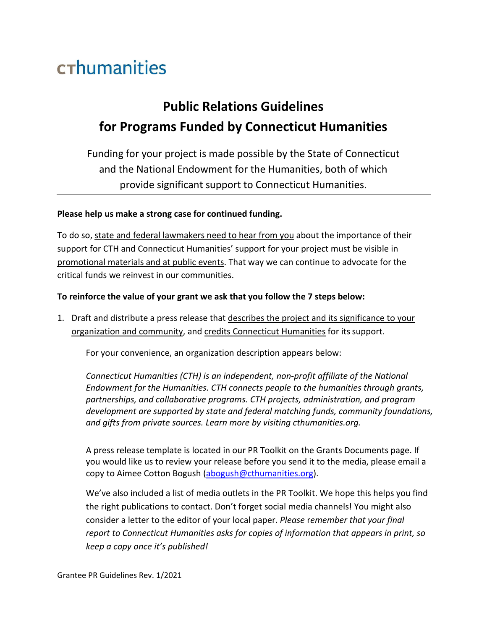## crhumanities

## **Public Relations Guidelines for Programs Funded by Connecticut Humanities**

Funding for your project is made possible by the State of Connecticut and the National Endowment for the Humanities, both of which provide significant support to Connecticut Humanities.

## **Please help us make a strong case for continued funding.**

To do so, state and federal lawmakers need to hear from you about the importance of their support for CTH and Connecticut Humanities' support for your project must be visible in promotional materials and at public events. That way we can continue to advocate for the critical funds we reinvest in our communities.

## **To reinforce the value of your grant we ask that you follow the 7 steps below:**

1. Draft and distribute a press release that describes the project and its significance to your organization and community, and credits Connecticut Humanities for its support.

For your convenience, an organization description appears below:

*Connecticut Humanities (CTH) is an independent, non-profit affiliate of the National Endowment for the Humanities. CTH connects people to the humanities through grants, partnerships, and collaborative programs. CTH projects, administration, and program development are supported by state and federal matching funds, community foundations, and gifts from private sources. Learn more by visiting cthumanities.org.*

A press release template is located in our PR Toolkit on the Grants Documents page. If you would like us to review your release before you send it to the media, please email a copy to Aimee Cotton Bogush [\(abogush@cthumanities.org\)](mailto:abogush@cthumanities.org).

We've also included a list of media outlets in the PR Toolkit. We hope this helps you find the right publications to contact. Don't forget social media channels! You might also consider a letter to the editor of your local paper. *Please* r*emember that your final report to Connecticut Humanities asks for copies of information that appears in print, so keep a copy once it's published!*